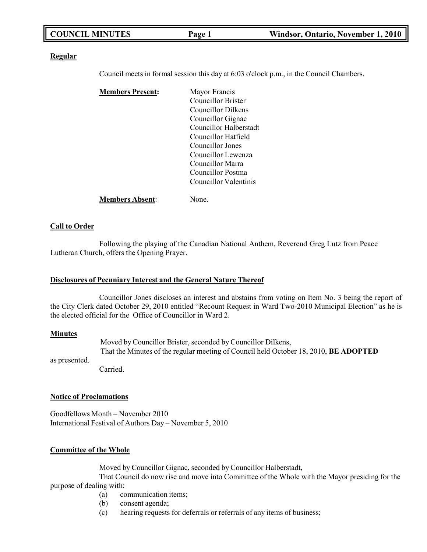| <b>COUNCIL MINUTES</b> | Page 1 | Windsor, Ontario, November 1, 2010 |
|------------------------|--------|------------------------------------|
|                        |        |                                    |

#### **Regular**

Council meets in formal session this day at 6:03 o'clock p.m., in the Council Chambers.

| <b>Members Present:</b> | Mayor Francis                |
|-------------------------|------------------------------|
|                         | <b>Councillor Brister</b>    |
|                         | Councillor Dilkens           |
|                         | Councillor Gignac            |
|                         | Councillor Halberstadt       |
|                         | Councillor Hatfield          |
|                         | Councillor Jones             |
|                         | Councillor Lewenza           |
|                         | Councillor Marra             |
|                         | Councillor Postma            |
|                         | <b>Councillor Valentinis</b> |
| <b>Members Absent:</b>  | None.                        |

# **Call to Order**

Following the playing of the Canadian National Anthem, Reverend Greg Lutz from Peace Lutheran Church, offers the Opening Prayer.

### **Disclosures of Pecuniary Interest and the General Nature Thereof**

Councillor Jones discloses an interest and abstains from voting on Item No. 3 being the report of the City Clerk dated October 29, 2010 entitled "Recount Request in Ward Two-2010 Municipal Election" as he is the elected official for the Office of Councillor in Ward 2.

#### **Minutes**

as presented.

Moved by Councillor Brister, seconded by Councillor Dilkens, That the Minutes of the regular meeting of Council held October 18, 2010, **BE ADOPTED**

Carried.

### **Notice of Proclamations**

Goodfellows Month – November 2010 International Festival of Authors Day – November 5, 2010

### **Committee of the Whole**

Moved by Councillor Gignac, seconded by Councillor Halberstadt,

That Council do now rise and move into Committee of the Whole with the Mayor presiding for the purpose of dealing with:

- (a) communication items;
- (b) consent agenda;
- (c) hearing requests for deferrals or referrals of any items of business;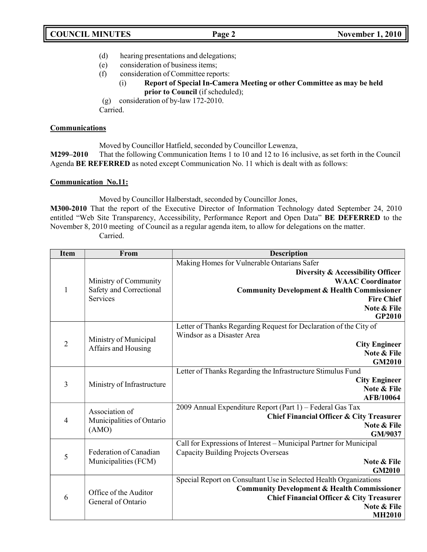- (d) hearing presentations and delegations;
- (e) consideration of business items;
- (f) consideration of Committee reports:
	- (i) **Report of Special In-Camera Meeting or other Committee as may be held prior to Council** (if scheduled);

(g) consideration of by-law 172-2010.

Carried.

## **Communications**

Moved by Councillor Hatfield, seconded by Councillor Lewenza,

**M299–2010** That the following Communication Items 1 to 10 and 12 to 16 inclusive, as set forth in the Council Agenda **BE REFERRED** as noted except Communication No. 11 which is dealt with as follows:

## **Communication No.11:**

Moved by Councillor Halberstadt, seconded by Councillor Jones,

**M300-2010** That the report of the Executive Director of Information Technology dated September 24, 2010 entitled "Web Site Transparency, Accessibility, Performance Report and Open Data" **BE DEFERRED** to the November 8, 2010 meeting of Council as a regular agenda item, to allow for delegations on the matter. Carried.

| <b>Item</b>                                         | From                                           | <b>Description</b>                                                                                            |
|-----------------------------------------------------|------------------------------------------------|---------------------------------------------------------------------------------------------------------------|
|                                                     |                                                | Making Homes for Vulnerable Ontarians Safer                                                                   |
| Safety and Correctional<br>$\mathbf{1}$<br>Services |                                                | Diversity & Accessibility Officer                                                                             |
|                                                     | Ministry of Community                          | <b>WAAC</b> Coordinator                                                                                       |
|                                                     |                                                | <b>Community Development &amp; Health Commissioner</b>                                                        |
|                                                     |                                                | <b>Fire Chief</b>                                                                                             |
|                                                     |                                                | Note & File<br><b>GP2010</b>                                                                                  |
|                                                     |                                                | Letter of Thanks Regarding Request for Declaration of the City of                                             |
|                                                     | Ministry of Municipal                          | Windsor as a Disaster Area                                                                                    |
| $\overline{2}$                                      | Affairs and Housing                            | <b>City Engineer</b>                                                                                          |
|                                                     |                                                | Note & File                                                                                                   |
|                                                     |                                                | <b>GM2010</b>                                                                                                 |
|                                                     | Ministry of Infrastructure                     | Letter of Thanks Regarding the Infrastructure Stimulus Fund                                                   |
| $\overline{3}$                                      |                                                | <b>City Engineer</b><br>Note & File                                                                           |
|                                                     |                                                | AFB/10064                                                                                                     |
|                                                     |                                                | 2009 Annual Expenditure Report (Part 1) - Federal Gas Tax                                                     |
|                                                     | Association of                                 | <b>Chief Financial Officer &amp; City Treasurer</b>                                                           |
| $\overline{4}$                                      | Municipalities of Ontario<br>(AMO)             | Note & File                                                                                                   |
|                                                     |                                                | GM/9037                                                                                                       |
|                                                     |                                                | Call for Expressions of Interest - Municipal Partner for Municipal                                            |
| 5                                                   | Federation of Canadian<br>Municipalities (FCM) | <b>Capacity Building Projects Overseas</b>                                                                    |
|                                                     |                                                | Note & File                                                                                                   |
|                                                     |                                                | <b>GM2010</b>                                                                                                 |
|                                                     |                                                | Special Report on Consultant Use in Selected Health Organizations                                             |
| 6                                                   | Office of the Auditor<br>General of Ontario    | <b>Community Development &amp; Health Commissioner</b><br><b>Chief Financial Officer &amp; City Treasurer</b> |
|                                                     |                                                | Note & File                                                                                                   |
|                                                     |                                                | <b>MH2010</b>                                                                                                 |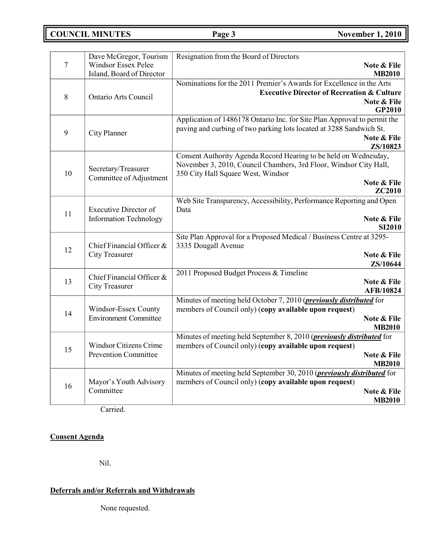**COUNCIL MINUTES Page 3 November 1, 2010**

|         | Dave McGregor, Tourism        | Resignation from the Board of Directors                                     |                              |
|---------|-------------------------------|-----------------------------------------------------------------------------|------------------------------|
| $\tau$  | <b>Windsor Essex Pelee</b>    |                                                                             | Note & File                  |
|         | Island, Board of Director     |                                                                             | <b>MB2010</b>                |
|         |                               | Nominations for the 2011 Premier's Awards for Excellence in the Arts        |                              |
| $\,8\,$ | <b>Ontario Arts Council</b>   | <b>Executive Director of Recreation &amp; Culture</b>                       |                              |
|         |                               |                                                                             | Note & File                  |
|         |                               |                                                                             | GP2010                       |
|         |                               | Application of 1486178 Ontario Inc. for Site Plan Approval to permit the    |                              |
| 9       | City Planner                  | paving and curbing of two parking lots located at 3288 Sandwich St.         |                              |
|         |                               |                                                                             | Note & File                  |
|         |                               |                                                                             | ZS/10823                     |
|         |                               | Consent Authority Agenda Record Hearing to be held on Wednesday,            |                              |
|         | Secretary/Treasurer           | November 3, 2010, Council Chambers, 3rd Floor, Windsor City Hall,           |                              |
| 10      | Committee of Adjustment       | 350 City Hall Square West, Windsor                                          |                              |
|         |                               |                                                                             | Note & File                  |
|         |                               |                                                                             | ZC2010                       |
|         |                               | Web Site Transparency, Accessibility, Performance Reporting and Open        |                              |
| 11      | <b>Executive Director of</b>  | Data                                                                        |                              |
|         | <b>Information Technology</b> |                                                                             | Note & File<br><b>SI2010</b> |
|         |                               | Site Plan Approval for a Proposed Medical / Business Centre at 3295-        |                              |
|         | Chief Financial Officer &     | 3335 Dougall Avenue                                                         |                              |
| 12      | <b>City Treasurer</b>         |                                                                             | Note & File                  |
|         |                               |                                                                             | ZS/10644                     |
|         |                               | 2011 Proposed Budget Process & Timeline                                     |                              |
| 13      | Chief Financial Officer &     |                                                                             | Note & File                  |
|         | <b>City Treasurer</b>         |                                                                             | AFB/10824                    |
|         |                               | Minutes of meeting held October 7, 2010 ( <i>previously distributed</i> for |                              |
|         | Windsor-Essex County          | members of Council only) (copy available upon request)                      |                              |
| 14      | <b>Environment Committee</b>  |                                                                             | Note & File                  |
|         |                               |                                                                             | <b>MB2010</b>                |
|         |                               | Minutes of meeting held September 8, 2010 (previously distributed for       |                              |
| 15      | Windsor Citizens Crime        | members of Council only) (copy available upon request)                      |                              |
|         | <b>Prevention Committee</b>   |                                                                             | Note & File                  |
|         |                               |                                                                             | <b>MB2010</b>                |
|         |                               | Minutes of meeting held September 30, 2010 (previously distributed for      |                              |
| 16      | Mayor's Youth Advisory        | members of Council only) (copy available upon request)                      |                              |
|         | Committee                     |                                                                             | Note & File                  |
|         |                               |                                                                             | <b>MB2010</b>                |

Carried.

# **Consent Agenda**

Nil.

# **Deferrals and/or Referrals and Withdrawals**

None requested.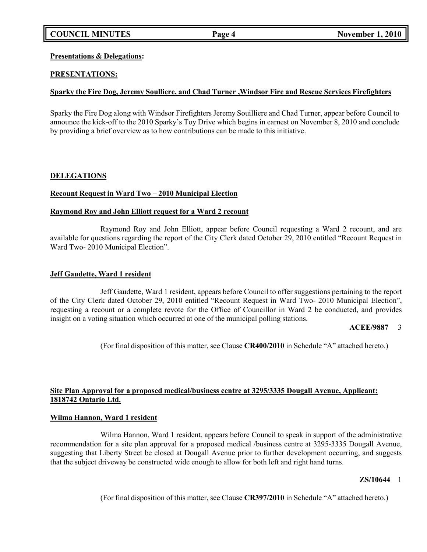## **Presentations & Delegations:**

## **PRESENTATIONS:**

## **Sparky the Fire Dog, Jeremy Soulliere, and Chad Turner ,Windsor Fire and Rescue Services Firefighters**

Sparky the Fire Dog along with Windsor Firefighters Jeremy Souilliere and Chad Turner, appear before Council to announce the kick-off to the 2010 Sparky's Toy Drive which begins in earnest on November 8, 2010 and conclude by providing a brief overview as to how contributions can be made to this initiative.

## **DELEGATIONS**

## **Recount Request in Ward Two – 2010 Municipal Election**

## **Raymond Roy and John Elliott request for a Ward 2 recount**

Raymond Roy and John Elliott, appear before Council requesting a Ward 2 recount, and are available for questions regarding the report of the City Clerk dated October 29, 2010 entitled "Recount Request in Ward Two- 2010 Municipal Election".

## **Jeff Gaudette, Ward 1 resident**

Jeff Gaudette, Ward 1 resident, appears before Council to offer suggestions pertaining to the report of the City Clerk dated October 29, 2010 entitled "Recount Request in Ward Two- 2010 Municipal Election", requesting a recount or a complete revote for the Office of Councillor in Ward 2 be conducted, and provides insight on a voting situation which occurred at one of the municipal polling stations.

## **ACEE/9887** 3

(For final disposition of this matter, see Clause **CR400/2010** in Schedule "A" attached hereto.)

## **Site Plan Approval for a proposed medical/business centre at 3295/3335 Dougall Avenue, Applicant: 1818742 Ontario Ltd.**

## **Wilma Hannon, Ward 1 resident**

Wilma Hannon, Ward 1 resident, appears before Council to speak in support of the administrative recommendation for a site plan approval for a proposed medical /business centre at 3295-3335 Dougall Avenue, suggesting that Liberty Street be closed at Dougall Avenue prior to further development occurring, and suggests that the subject driveway be constructed wide enough to allow for both left and right hand turns.

## **ZS/10644** 1

(For final disposition of this matter, see Clause **CR397/2010** in Schedule "A" attached hereto.)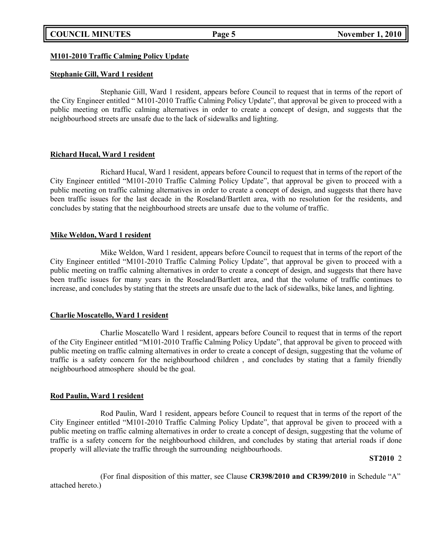### **M101-2010 Traffic Calming Policy Update**

### **Stephanie Gill, Ward 1 resident**

Stephanie Gill, Ward 1 resident, appears before Council to request that in terms of the report of the City Engineer entitled " M101-2010 Traffic Calming Policy Update", that approval be given to proceed with a public meeting on traffic calming alternatives in order to create a concept of design, and suggests that the neighbourhood streets are unsafe due to the lack of sidewalks and lighting.

### **Richard Hucal, Ward 1 resident**

Richard Hucal, Ward 1 resident, appears before Council to request that in terms of the report of the City Engineer entitled "M101-2010 Traffic Calming Policy Update", that approval be given to proceed with a public meeting on traffic calming alternatives in order to create a concept of design, and suggests that there have been traffic issues for the last decade in the Roseland/Bartlett area, with no resolution for the residents, and concludes by stating that the neighbourhood streets are unsafe due to the volume of traffic.

## **Mike Weldon, Ward 1 resident**

Mike Weldon, Ward 1 resident, appears before Council to request that in terms of the report of the City Engineer entitled "M101-2010 Traffic Calming Policy Update", that approval be given to proceed with a public meeting on traffic calming alternatives in order to create a concept of design, and suggests that there have been traffic issues for many years in the Roseland/Bartlett area, and that the volume of traffic continues to increase, and concludes by stating that the streets are unsafe due to the lack of sidewalks, bike lanes, and lighting.

## **Charlie Moscatello, Ward 1 resident**

Charlie Moscatello Ward 1 resident, appears before Council to request that in terms of the report of the City Engineer entitled "M101-2010 Traffic Calming Policy Update", that approval be given to proceed with public meeting on traffic calming alternatives in order to create a concept of design, suggesting that the volume of traffic is a safety concern for the neighbourhood children , and concludes by stating that a family friendly neighbourhood atmosphere should be the goal.

### **Rod Paulin, Ward 1 resident**

Rod Paulin, Ward 1 resident, appears before Council to request that in terms of the report of the City Engineer entitled "M101-2010 Traffic Calming Policy Update", that approval be given to proceed with a public meeting on traffic calming alternatives in order to create a concept of design, suggesting that the volume of traffic is a safety concern for the neighbourhood children, and concludes by stating that arterial roads if done properly will alleviate the traffic through the surrounding neighbourhoods.

### **ST2010** 2

(For final disposition of this matter, see Clause **CR398/2010 and CR399/2010** in Schedule "A" attached hereto.)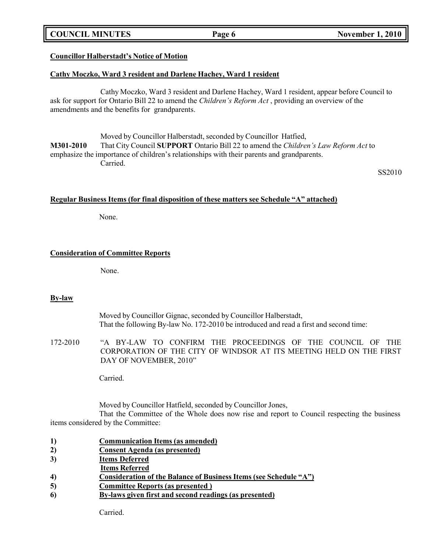## **COUNCIL MINUTES Page 6 November 1, 2010**

# **Councillor Halberstadt's Notice of Motion**

# **Cathy Moczko, Ward 3 resident and Darlene Hachey, Ward 1 resident**

Cathy Moczko, Ward 3 resident and Darlene Hachey, Ward 1 resident, appear before Council to ask for support for Ontario Bill 22 to amend the *Children's Reform Act* , providing an overview of the amendments and the benefits for grandparents.

Moved by Councillor Halberstadt, seconded by Councillor Hatfied, **M301-2010** That City Council **SUPPORT** Ontario Bill 22 to amend the *Children's Law Reform Act* to emphasize the importance of children's relationships with their parents and grandparents. Carried.

SS2010

# **Regular Business Items (for final disposition of these matters see Schedule "A" attached)**

None.

## **Consideration of Committee Reports**

None.

## **By-law**

Moved by Councillor Gignac, seconded by Councillor Halberstadt, That the following By-law No. 172-2010 be introduced and read a first and second time:

172-2010 "A BY-LAW TO CONFIRM THE PROCEEDINGS OF THE COUNCIL OF THE CORPORATION OF THE CITY OF WINDSOR AT ITS MEETING HELD ON THE FIRST DAY OF NOVEMBER, 2010"

Carried.

Moved by Councillor Hatfield, seconded by Councillor Jones, That the Committee of the Whole does now rise and report to Council respecting the business items considered by the Committee:

- **1) Communication Items (as amended)**
- **2) Consent Agenda (as presented)**
- **3) Items Deferred**
- **Items Referred**
- **4) Consideration of the Balance of Business Items (see Schedule "A")**
- **5) Committee Reports (as presented )**
- **6) By-laws given first and second readings (as presented)**

Carried.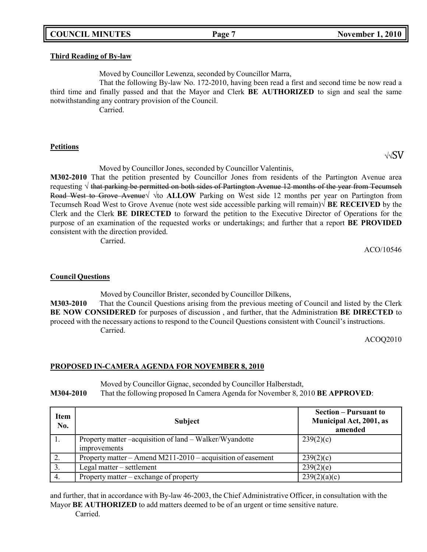## **COUNCIL MINUTES Page 7 November 1, 2010**

#### **Third Reading of By-law**

Moved by Councillor Lewenza, seconded by Councillor Marra,

That the following By-law No. 172-2010, having been read a first and second time be now read a third time and finally passed and that the Mayor and Clerk **BE AUTHORIZED** to sign and seal the same notwithstanding any contrary provision of the Council.

Carried.

#### **Petitions**

Moved by Councillor Jones, seconded by Councillor Valentinis,

**M302-2010** That the petition presented by Councillor Jones from residents of the Partington Avenue area requesting  $\sqrt{\frac{h_{\text{at}}}{h_{\text{at}}}}$  be permitted on both sides of Partington Avenue 12 months of the year from Tecumseh Road West to Grove Avenue√ √to **ALLOW** Parking on West side 12 months per year on Partington from Tecumseh Road West to Grove Avenue (note west side accessible parking will remain)√ **BE RECEIVED** by the Clerk and the Clerk **BE DIRECTED** to forward the petition to the Executive Director of Operations for the purpose of an examination of the requested works or undertakings; and further that a report **BE PROVIDED** consistent with the direction provided.

Carried.

ACO/10546

### **Council Questions**

Moved by Councillor Brister, seconded by Councillor Dilkens, **M303-2010** That the Council Questions arising from the previous meeting of Council and listed by the Clerk **BE NOW CONSIDERED** for purposes of discussion , and further, that the Administration **BE DIRECTED** to proceed with the necessary actions to respond to the Council Questions consistent with Council's instructions. Carried.

ACOQ2010

### **PROPOSED IN-CAMERA AGENDA FOR NOVEMBER 8, 2010**

Moved by Councillor Gignac, seconded by Councillor Halberstadt, **M304-2010** That the following proposed In Camera Agenda for November 8, 2010 **BE APPROVED**:

| <b>Item</b><br>No. | <b>Subject</b>                                                                 | <b>Section – Pursuant to</b><br><b>Municipal Act, 2001, as</b><br>amended |
|--------------------|--------------------------------------------------------------------------------|---------------------------------------------------------------------------|
|                    | Property matter –acquisition of land – Walker/Wyandotte<br><i>improvements</i> | 239(2)(c)                                                                 |
|                    | Property matter – Amend M211-2010 – acquisition of easement                    | 239(2)(c)                                                                 |
| 3.                 | Legal matter – settlement                                                      | 239(2)(e)                                                                 |
| 4.                 | Property matter – exchange of property                                         | 239(2)(a)(c)                                                              |

and further, that in accordance with By-law 46-2003, the Chief Administrative Officer, in consultation with the Mayor **BE AUTHORIZED** to add matters deemed to be of an urgent or time sensitive nature.

Carried.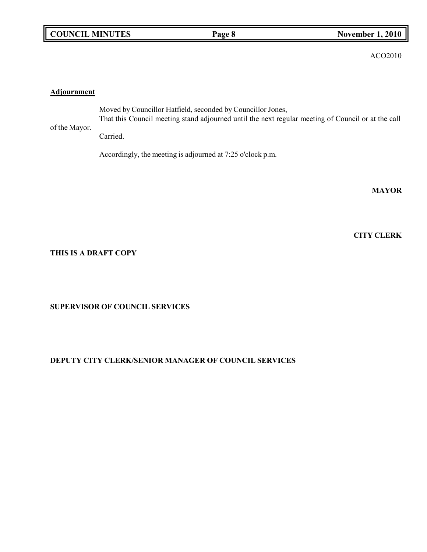|  | <b>COUNCIL MINUTES</b> |
|--|------------------------|
|--|------------------------|

ACO2010

## **Adjournment**

of the Mayor. Moved by Councillor Hatfield, seconded by Councillor Jones, That this Council meeting stand adjourned until the next regular meeting of Council or at the call Carried.

Accordingly, the meeting is adjourned at 7:25 o'clock p.m.

**MAYOR**

**CITY CLERK**

## **THIS IS A DRAFT COPY**

**SUPERVISOR OF COUNCIL SERVICES**

## **DEPUTY CITY CLERK/SENIOR MANAGER OF COUNCIL SERVICES**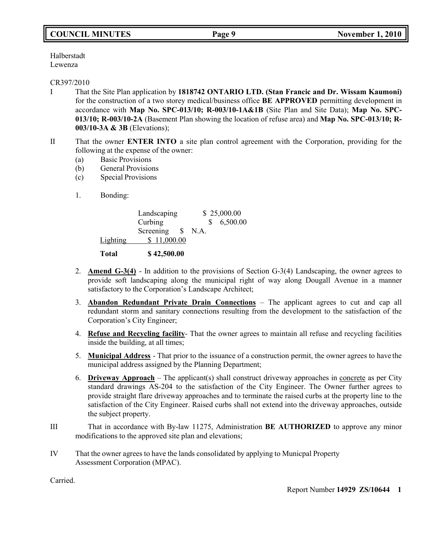# **COUNCIL MINUTES Page 9 November 1, 2010**

Halberstadt Lewenza

### CR397/2010

- I That the Site Plan application by **1818742 ONTARIO LTD. (Stan Francic and Dr. Wissam Kaumoni)** for the construction of a two storey medical/business office **BE APPROVED** permitting development in accordance with **Map No. SPC-013/10; R-003/10-1A&1B** (Site Plan and Site Data); **Map No. SPC-013/10; R-003/10-2A** (Basement Plan showing the location of refuse area) and **Map No. SPC-013/10; R-003/10-3A & 3B** (Elevations);
- II That the owner **ENTER INTO** a site plan control agreement with the Corporation, providing for the following at the expense of the owner:
	- (a) Basic Provisions
	- (b) General Provisions
	- (c) Special Provisions
	- 1. Bonding:

|          | Landscaping       | \$25,000.00 |          |
|----------|-------------------|-------------|----------|
|          | Curbing           |             | 6,500.00 |
|          | Screening \$ N.A. |             |          |
| Lighting | \$11,000.00       |             |          |
| Total    | \$42,500.00       |             |          |

- 2. **Amend G-3(4)** In addition to the provisions of Section G-3(4) Landscaping, the owner agrees to provide soft landscaping along the municipal right of way along Dougall Avenue in a manner satisfactory to the Corporation's Landscape Architect;
- 3. **Abandon Redundant Private Drain Connections** The applicant agrees to cut and cap all redundant storm and sanitary connections resulting from the development to the satisfaction of the Corporation's City Engineer;
- 4. **Refuse and Recycling facility** That the owner agrees to maintain all refuse and recycling facilities inside the building, at all times;
- 5. **Municipal Address** That prior to the issuance of a construction permit, the owner agrees to have the municipal address assigned by the Planning Department;
- 6. **Driveway Approach** The applicant(s) shall construct driveway approaches in concrete as per City standard drawings AS-204 to the satisfaction of the City Engineer. The Owner further agrees to provide straight flare driveway approaches and to terminate the raised curbs at the property line to the satisfaction of the City Engineer. Raised curbs shall not extend into the driveway approaches, outside the subject property.
- III That in accordance with By-law 11275, Administration **BE AUTHORIZED** to approve any minor modifications to the approved site plan and elevations;
- IV That the owner agrees to have the lands consolidated by applying to Municpal Property Assessment Corporation (MPAC).

Carried.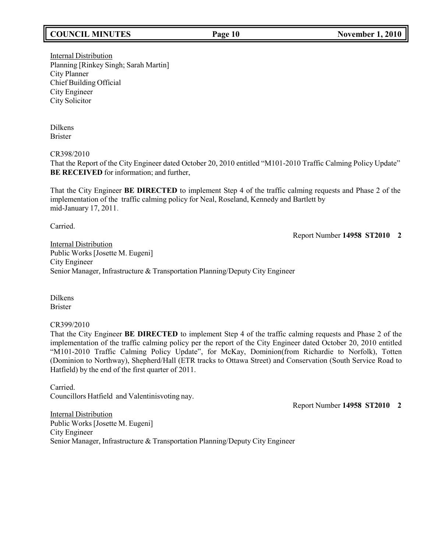# **COUNCIL MINUTES Page 10 November 1, 2010**

Internal Distribution Planning [Rinkey Singh; Sarah Martin] City Planner Chief Building Official City Engineer City Solicitor

Dilkens Brister

CR398/2010

That the Report of the City Engineer dated October 20, 2010 entitled "M101-2010 Traffic Calming Policy Update" **BE RECEIVED** for information; and further,

That the City Engineer **BE DIRECTED** to implement Step 4 of the traffic calming requests and Phase 2 of the implementation of the traffic calming policy for Neal, Roseland, Kennedy and Bartlett by mid-January 17, 2011.

Carried.

Report Number **14958 ST2010 2**

Internal Distribution Public Works [Josette M. Eugeni] City Engineer Senior Manager, Infrastructure & Transportation Planning/Deputy City Engineer

Dilkens Brister

CR399/2010

That the City Engineer **BE DIRECTED** to implement Step 4 of the traffic calming requests and Phase 2 of the implementation of the traffic calming policy per the report of the City Engineer dated October 20, 2010 entitled "M101-2010 Traffic Calming Policy Update", for McKay, Dominion(from Richardie to Norfolk), Totten (Dominion to Northway), Shepherd/Hall (ETR tracks to Ottawa Street) and Conservation (South Service Road to Hatfield) by the end of the first quarter of 2011.

Carried. Councillors Hatfield and Valentinisvoting nay.

Report Number **14958 ST2010 2**

Internal Distribution Public Works [Josette M. Eugeni] City Engineer Senior Manager, Infrastructure & Transportation Planning/Deputy City Engineer